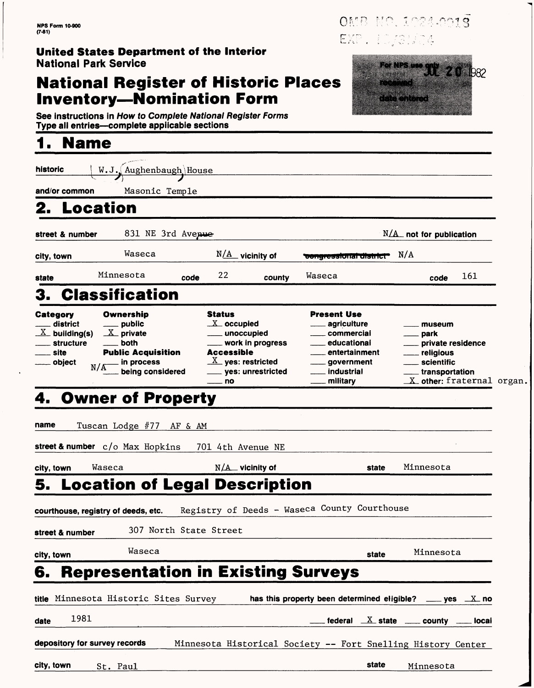### **United States Department of the Interior** National Park Service

## **National Register of Historic Places Inventory—Nomination Form**

See instructions in How to Complete National Register Forms Type all entries—complete applicable sections

## **1. Name**

| historic                                                                                         | W.J., Aughenbaugh House                                                                                                                         |                        |                                                                                                                                              |                                                                                                                                                                                  |                                                                                                                                                                       |  |
|--------------------------------------------------------------------------------------------------|-------------------------------------------------------------------------------------------------------------------------------------------------|------------------------|----------------------------------------------------------------------------------------------------------------------------------------------|----------------------------------------------------------------------------------------------------------------------------------------------------------------------------------|-----------------------------------------------------------------------------------------------------------------------------------------------------------------------|--|
| and/or common                                                                                    | Masonic Temple                                                                                                                                  |                        |                                                                                                                                              |                                                                                                                                                                                  |                                                                                                                                                                       |  |
|                                                                                                  | 2. Location                                                                                                                                     |                        |                                                                                                                                              |                                                                                                                                                                                  |                                                                                                                                                                       |  |
| street & number                                                                                  | 831 NE 3rd Avenue                                                                                                                               |                        |                                                                                                                                              |                                                                                                                                                                                  | $N/\text{A}$ not for publication                                                                                                                                      |  |
| city, town                                                                                       | Waseca                                                                                                                                          |                        | $N/\text{A}$ vicinity of                                                                                                                     | congressional district                                                                                                                                                           | N/A                                                                                                                                                                   |  |
| state                                                                                            | Minnesota                                                                                                                                       | 22<br>code             | county                                                                                                                                       | Waseca                                                                                                                                                                           | 161<br>code                                                                                                                                                           |  |
|                                                                                                  | <b>Classification</b>                                                                                                                           |                        |                                                                                                                                              |                                                                                                                                                                                  |                                                                                                                                                                       |  |
| <b>Category</b><br>district<br>$\underline{X}$ building(s)<br><b>structure</b><br>site<br>object | Ownership<br><u>_</u> ___ public<br>$\underline{X}$ private<br>both<br><b>Public Acquisition</b><br><sub>–</sub> in process<br>being considered | <b>Status</b><br>— no  | $X$ occupied<br>_____ unoccupied<br>____ work in progress<br><b>Accessible</b><br>$\underline{X}$ yes: restricted<br>_____ yes: unrestricted | Present Use<br><sub>-----</sub> agriculture<br><sub>——</sub> commercial<br>educational<br>entertainment<br><u>__</u> __ government<br>__ industrial<br><sub>___</sub> _ military | museum<br>___ park<br><u>_</u> ___ private residence<br><u>_</u> __ religious<br>____ scientific<br><u>_</u> __ transportation<br>$\mathbf X$ other: fraternal organ. |  |
| name                                                                                             | Tuscan Lodge #77 AF & AM<br>street & number $c/o$ Max Hopkins                                                                                   |                        | 701 4th Avenue NE                                                                                                                            |                                                                                                                                                                                  |                                                                                                                                                                       |  |
| city, town                                                                                       | Waseca                                                                                                                                          |                        | $N/\Delta$ vicinity of                                                                                                                       | state                                                                                                                                                                            | Minnesota                                                                                                                                                             |  |
| 5.<br>street & number                                                                            | <b>Location of Legal Description</b><br>courthouse, registry of deeds, etc.                                                                     | 307 North State Street |                                                                                                                                              | Registry of Deeds - Waseca County Courthouse                                                                                                                                     |                                                                                                                                                                       |  |
| city, town                                                                                       | Waseca                                                                                                                                          |                        |                                                                                                                                              | state                                                                                                                                                                            | Minnesota                                                                                                                                                             |  |
| 6.                                                                                               | <b>Representation in Existing Surveys</b>                                                                                                       |                        |                                                                                                                                              |                                                                                                                                                                                  |                                                                                                                                                                       |  |
|                                                                                                  | title Minnesota Historic Sites Survey                                                                                                           |                        |                                                                                                                                              | has this property been determined eligible?                                                                                                                                      | <u>___</u> yes  __ <u>х</u> _ no                                                                                                                                      |  |
| date                                                                                             | 1981                                                                                                                                            |                        |                                                                                                                                              |                                                                                                                                                                                  | federal $X$ state $\frac{1}{1}$ county $\frac{1}{1}$ local                                                                                                            |  |
|                                                                                                  | depository for survey records                                                                                                                   |                        |                                                                                                                                              | Minnesota Historical Society -- Fort Snelling History Center                                                                                                                     |                                                                                                                                                                       |  |

**city, town** St. Paul state Minnesota State Minnesota State Minnesota

W.

For NPS use SUL 2 0 1982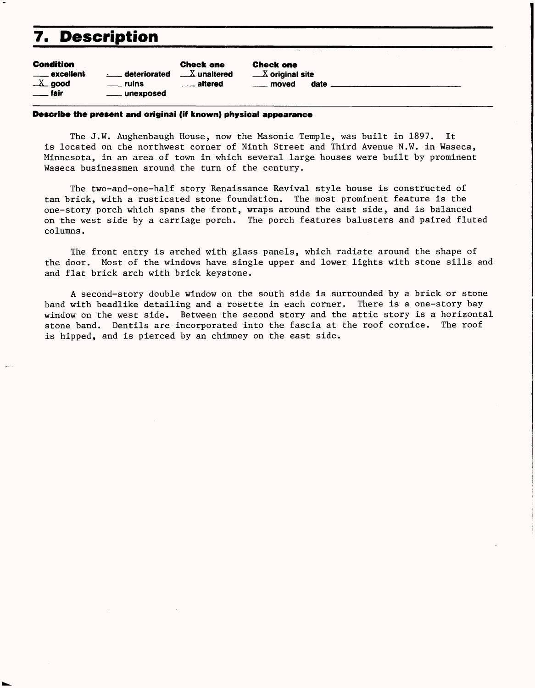## **7. Description**

| <b>Condition</b>          | <b>Check one</b>  |                      |  |
|---------------------------|-------------------|----------------------|--|
| ____ excellent            | deteriorated      | $\sqrt{X}$ unaltered |  |
| $X$ good                  | <u>__</u> _ ruins | <u>__</u> __ altered |  |
| $\rule{1em}{0.15mm}$ fair | ____ unexposed    |                      |  |

Check one  $\begin{array}{ll}\_\!\text{\footnotesize{M}}\ \text{\footnotesize{N}}\ \text{\footnotesize{original site}}\ \text{\footnotesize{data}}\ \end{array}$  $-$  moved

#### **Describe the present and original (iff known) physical appearance**

The J.W. Aughenbaugh House, now the Masonic Temple, was built in 1897. It is located on the northwest corner of Ninth Street and Third Avenue N.W. in Waseca, Minnesota, in an area of town in which several large houses were built by prominent Waseca businessmen around the turn of the century.

The two-and-one-half story Renaissance Revival style house is constructed of tan brick, with a rusticated stone foundation. The most prominent feature is the one-story porch which spans the front, wraps around the east side, and is balanced on the west side by a carriage porch. The porch features balusters and paired fluted columns.

The front entry is arched with glass panels, which radiate around the shape of the door. Most of the windows have single upper and lower lights with stone sills and and flat brick arch with brick keystone.

A second-story double window on the south side is surrounded by a brick or stone band with beadlike detailing and a rosette in each corner. There is a one-story bay window on the west side. Between the second story and the attic story is a horizontal stone band. Dentils are incorporated into the fascia at the roof cornice. The roof is hipped, and is pierced by an chimney on the east side.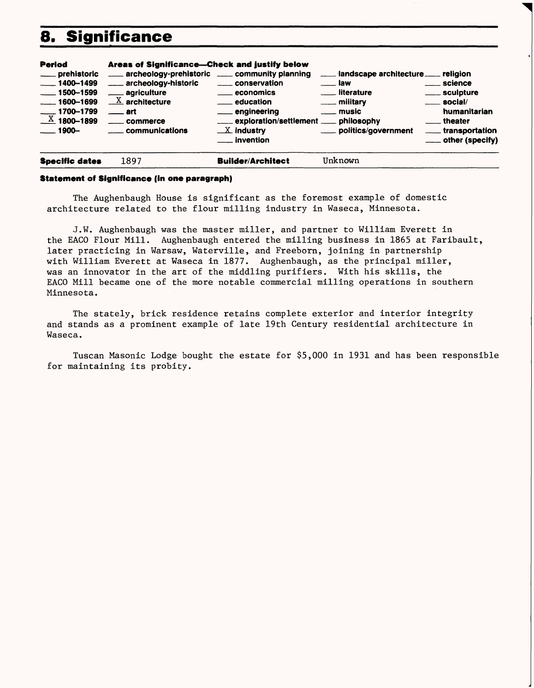## **8. Significance**



#### **Statement of Significance (in one paragraph)**

The Aughenbaugh House is significant as the foremost example of domestic architecture related to the flour milling industry in Waseca, Minnesota.

J.W. Aughenbaugh was the master miller, and partner to William Everett in the EACO Flour Mill. Aughenbaugh entered the milling business in 1865 at Faribault, later practicing in Warsaw, Waterville, and Freeborn, joining in partnership with William Everett at Waseca in 1877. Aughenbaugh, as the principal miller, was an innovator in the art of the middling purifiers. With his skills, the EACO Mill became one of the more notable commercial milling operations in southern Minnesota.

The stately, brick residence retains complete exterior and interior integrity and stands as a prominent example of late 19th Century residential architecture in Waseca.

Tuscan Masonic Lodge bought the estate for \$5,000 in 1931 and has been responsible for maintaining its probity.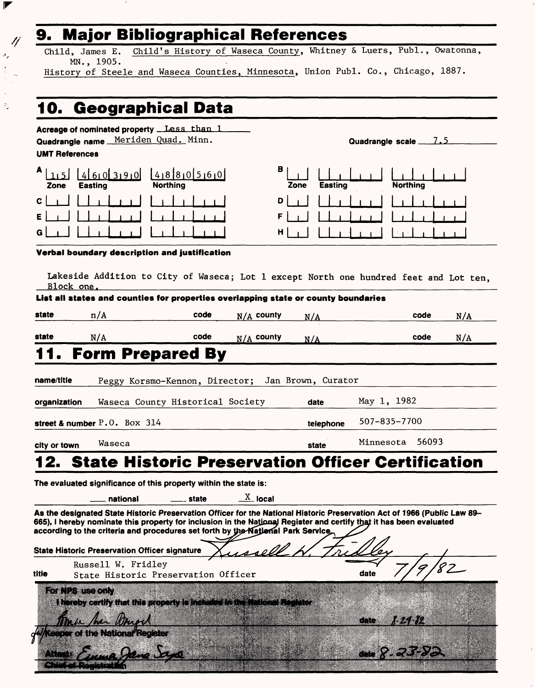## **9. Major Bibliographical References**

Child, James E. Child's History of Waseca County, Whitney & Luers, Publ., Owatonna, MN., 1905.

History of Steele and Waseca Counties, Minnesota, Union Publ. Co., Chicago, 1887.

## **10. Geographical Data**

 $\blacktriangledown$ 

्रे

11  $\sigma_{\chi}$ 

| Acreage of nominated property Less than 1<br>Quadrangle name Meriden Quad. Minn.<br><b>UMT References</b>                                                                                                                                                                                                                                                                                                                                             |                     | Quadrangle scale 7.5                     |  |  |  |  |  |  |
|-------------------------------------------------------------------------------------------------------------------------------------------------------------------------------------------------------------------------------------------------------------------------------------------------------------------------------------------------------------------------------------------------------------------------------------------------------|---------------------|------------------------------------------|--|--|--|--|--|--|
| A<br>460390<br>41880560<br><b>Northing</b><br><b>Easting</b><br>Zone                                                                                                                                                                                                                                                                                                                                                                                  | в<br>Zone           | <b>Easting</b><br><b>Northing</b>        |  |  |  |  |  |  |
| C.<br>Е<br>G                                                                                                                                                                                                                                                                                                                                                                                                                                          | D<br>F<br>н         |                                          |  |  |  |  |  |  |
| Verbal boundary description and justification<br>Lakeside Addition to City of Waseca; Lot 1 except North one hundred feet and Lot ten,<br>Block one.                                                                                                                                                                                                                                                                                                  |                     |                                          |  |  |  |  |  |  |
| List all states and counties for properties overiapping state or county boundaries<br>state<br>code                                                                                                                                                                                                                                                                                                                                                   |                     |                                          |  |  |  |  |  |  |
| n/A                                                                                                                                                                                                                                                                                                                                                                                                                                                   | $N/A$ county<br>N/A | code<br>N/A                              |  |  |  |  |  |  |
| code<br>state<br>N/A<br>1. Form Prepared By                                                                                                                                                                                                                                                                                                                                                                                                           | $N/A$ county<br>N/A | N/A<br>code                              |  |  |  |  |  |  |
| name/title<br>Peggy Korsmo-Kennon, Director; Jan Brown, Curator<br>Waseca County Historical Society<br>organization<br>street & number $P.0.$ Box 314                                                                                                                                                                                                                                                                                                 | date                | May 1, 1982<br>507-835-7700<br>telephone |  |  |  |  |  |  |
| Waseca<br>city or town                                                                                                                                                                                                                                                                                                                                                                                                                                | state               | 56093<br>Minnesota                       |  |  |  |  |  |  |
| 2. State Historic Preservation Officer Certification                                                                                                                                                                                                                                                                                                                                                                                                  |                     |                                          |  |  |  |  |  |  |
| The evaluated significance of this property within the state is:<br>$\underline{X}$ local<br>national<br>state<br>As the designated State Historic Preservation Officer for the National Historic Preservation Act of 1966 (Public Law 89-<br>665), I hereby nominate this property for inclusion in the National Register and certify that it has been evaluated<br>according to the criteria and procedures set forth by the National Park Service. |                     |                                          |  |  |  |  |  |  |
| <b>State Historic Preservation Officer signature</b>                                                                                                                                                                                                                                                                                                                                                                                                  |                     |                                          |  |  |  |  |  |  |
| Russell W. Fridley<br>title<br>State Historic Preservation Officer                                                                                                                                                                                                                                                                                                                                                                                    |                     | date                                     |  |  |  |  |  |  |
| For NPS use only<br>I hereby certify that this property is included in the Mational Register<br>eeper of the National Register<br>una Dans                                                                                                                                                                                                                                                                                                            |                     | T 24 Y 2<br>date<br>Gate X               |  |  |  |  |  |  |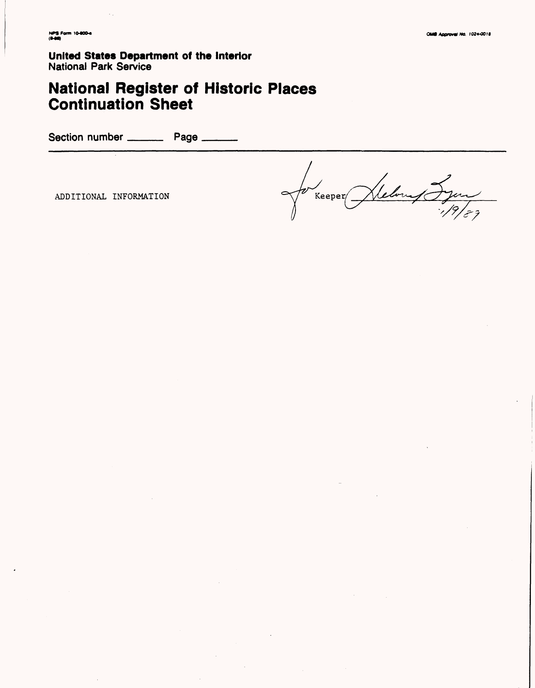**United States Department of the Interior National Park Service** 

# **National Register of Historic Places<br>Continuation Sheet**

Section number \_\_\_\_\_\_\_\_\_\_\_ Page \_\_\_\_

ADDITIONAL INFORMATION

lebourg Syon  $\sqrt{\frac{1}{2}}$ Keeper $\sqrt{\frac{1}{2}}$